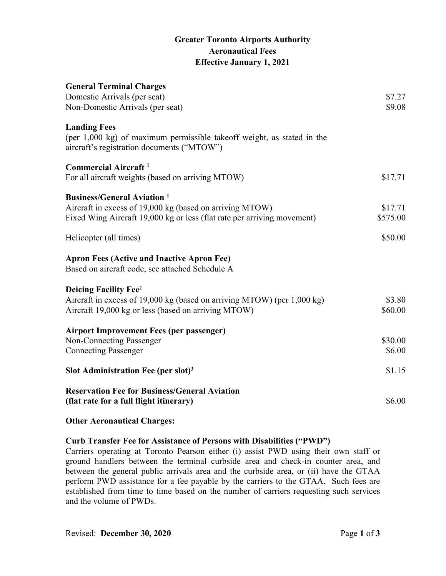## **Greater Toronto Airports Authority Aeronautical Fees Effective January 1, 2021**

| <b>General Terminal Charges</b><br>Domestic Arrivals (per seat)                                                                             | \$7.27   |
|---------------------------------------------------------------------------------------------------------------------------------------------|----------|
| Non-Domestic Arrivals (per seat)                                                                                                            | \$9.08   |
| <b>Landing Fees</b><br>(per 1,000 kg) of maximum permissible takeoff weight, as stated in the<br>aircraft's registration documents ("MTOW") |          |
| <b>Commercial Aircraft</b> <sup>1</sup>                                                                                                     |          |
| For all aircraft weights (based on arriving MTOW)                                                                                           | \$17.71  |
| <b>Business/General Aviation</b> <sup>1</sup>                                                                                               |          |
| Aircraft in excess of 19,000 kg (based on arriving MTOW)                                                                                    | \$17.71  |
| Fixed Wing Aircraft 19,000 kg or less (flat rate per arriving movement)                                                                     | \$575.00 |
| Helicopter (all times)                                                                                                                      | \$50.00  |
| <b>Apron Fees (Active and Inactive Apron Fee)</b><br>Based on aircraft code, see attached Schedule A                                        |          |
| <b>Deicing Facility Fee</b> <sup>2</sup>                                                                                                    |          |
| Aircraft in excess of 19,000 kg (based on arriving MTOW) (per 1,000 kg)                                                                     | \$3.80   |
| Aircraft 19,000 kg or less (based on arriving MTOW)                                                                                         | \$60.00  |
| <b>Airport Improvement Fees (per passenger)</b>                                                                                             |          |
| <b>Non-Connecting Passenger</b>                                                                                                             | \$30.00  |
| <b>Connecting Passenger</b>                                                                                                                 | \$6.00   |
| Slot Administration Fee (per slot) <sup>3</sup>                                                                                             | \$1.15   |
| <b>Reservation Fee for Business/General Aviation</b>                                                                                        |          |
| (flat rate for a full flight itinerary)                                                                                                     | \$6.00   |

**Other Aeronautical Charges:** 

### **Curb Transfer Fee for Assistance of Persons with Disabilities ("PWD")**

Carriers operating at Toronto Pearson either (i) assist PWD using their own staff or ground handlers between the terminal curbside area and check-in counter area, and between the general public arrivals area and the curbside area, or (ii) have the GTAA perform PWD assistance for a fee payable by the carriers to the GTAA. Such fees are established from time to time based on the number of carriers requesting such services and the volume of PWDs.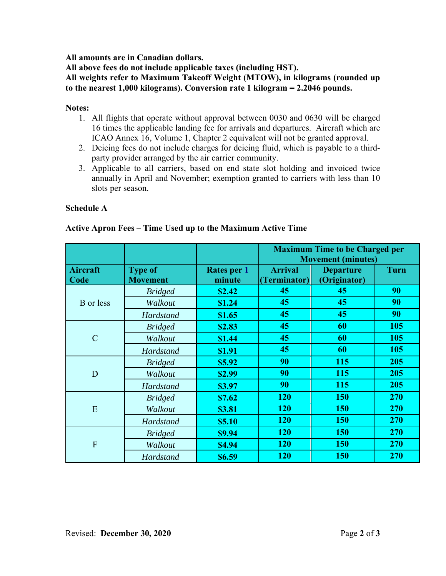**All amounts are in Canadian dollars.** 

**All above fees do not include applicable taxes (including HST).**

**All weights refer to Maximum Takeoff Weight (MTOW), in kilograms (rounded up to the nearest 1,000 kilograms). Conversion rate 1 kilogram = 2.2046 pounds.** 

#### **Notes:**

- 1. All flights that operate without approval between 0030 and 0630 will be charged 16 times the applicable landing fee for arrivals and departures. Aircraft which are ICAO Annex 16, Volume 1, Chapter 2 equivalent will not be granted approval.
- 2. Deicing fees do not include charges for deicing fluid, which is payable to a thirdparty provider arranged by the air carrier community.
- 3. Applicable to all carriers, based on end state slot holding and invoiced twice annually in April and November; exemption granted to carriers with less than 10 slots per season.

#### **Schedule A**

|                         |                                   |                              | <b>Maximum Time to be Charged per</b><br><b>Movement (minutes)</b> |                                  |             |
|-------------------------|-----------------------------------|------------------------------|--------------------------------------------------------------------|----------------------------------|-------------|
| <b>Aircraft</b><br>Code | <b>Type of</b><br><b>Movement</b> | <b>Rates per 1</b><br>minute | <b>Arrival</b><br>(Terminator)                                     | <b>Departure</b><br>(Originator) | <b>Turn</b> |
| <b>B</b> or less        | <b>Bridged</b>                    | \$2.42                       | 45                                                                 | 45                               | 90          |
|                         | Walkout                           | \$1.24                       | 45                                                                 | 45                               | 90          |
|                         | Hardstand                         | \$1.65                       | 45                                                                 | 45                               | 90          |
| $\overline{C}$          | <b>Bridged</b>                    | \$2.83                       | 45                                                                 | 60                               | 105         |
|                         | Walkout                           | \$1.44                       | 45                                                                 | 60                               | 105         |
|                         | Hardstand                         | \$1.91                       | 45                                                                 | 60                               | 105         |
| D                       | <b>Bridged</b>                    | \$5.92                       | 90                                                                 | 115                              | 205         |
|                         | Walkout                           | \$2.99                       | 90                                                                 | 115                              | 205         |
|                         | Hardstand                         | \$3.97                       | 90                                                                 | 115                              | 205         |
| E                       | <b>Bridged</b>                    | \$7.62                       | <b>120</b>                                                         | 150                              | 270         |
|                         | Walkout                           | \$3.81                       | <b>120</b>                                                         | <b>150</b>                       | <b>270</b>  |
|                         | Hardstand                         | \$5.10                       | <b>120</b>                                                         | 150                              | 270         |
| F                       | <b>Bridged</b>                    | \$9.94                       | <b>120</b>                                                         | 150                              | 270         |
|                         | Walkout                           | \$4.94                       | <b>120</b>                                                         | 150                              | 270         |
|                         | <b>Hardstand</b>                  | \$6.59                       | 120                                                                | 150                              | 270         |

#### **Active Apron Fees – Time Used up to the Maximum Active Time**